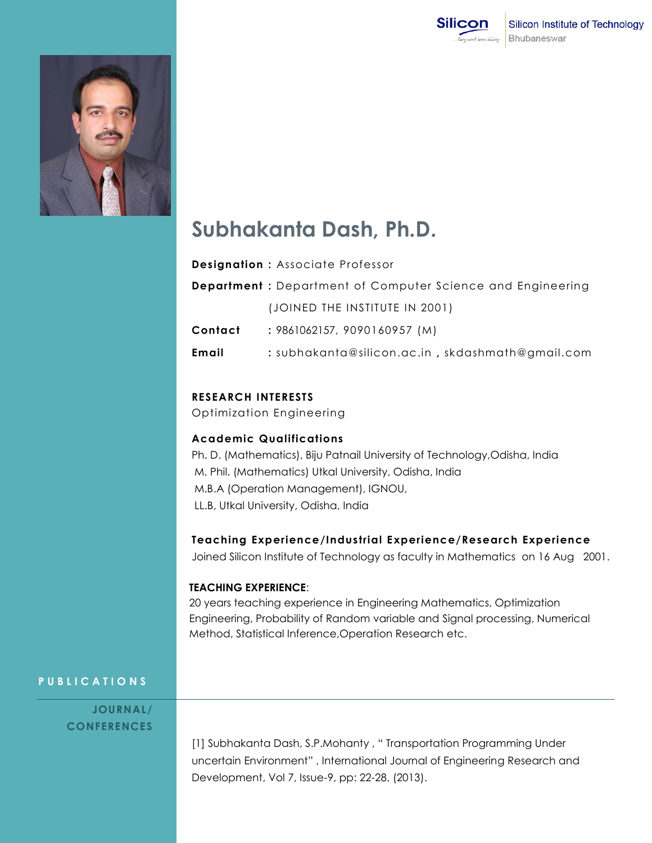



# **Subhakanta Dash, Ph.D.**

**Designation :** Associate Professor

|         | <b>Department</b> : Department of Computer Science and Engineering |
|---------|--------------------------------------------------------------------|
|         | (JOINED THE INSTITUTE IN 2001)                                     |
| Contact | : 9861062157, 9090160957 (M)                                       |
| Email   | : subhakanta@silicon.ac.in, skdashmath@gmail.com                   |

### **RESEARCH INTERESTS**

Optimization Engineering

## **Academic Qualifications**

Ph. D. (Mathematics), Biju Patnail University of Technology,Odisha, India M. Phil. (Mathematics) Utkal University, Odisha, India M.B.A (Operation Management), IGNOU, LL.B, Utkal University, Odisha, India

#### **Teaching Experience/Industrial Experience/Research Experience**

Joined Silicon Institute of Technology as faculty in Mathematics on 16 Aug 2001.

#### **TEACHING EXPERIENCE**:

20 years teaching experience in Engineering Mathematics, Optimization Engineering, Probability of Random variable and Signal processing, Numerical Method, Statistical Inference,Operation Research etc.

## **P U B L I C A T I O N S**

**JOURNAL / CONFERENCES**

> [1] Subhakanta Dash, S.P.Mohanty , " Transportation Programming Under uncertain Environment" , International Journal of Engineering Research and Development, Vol 7, Issue-9, pp: 22-28, (2013).